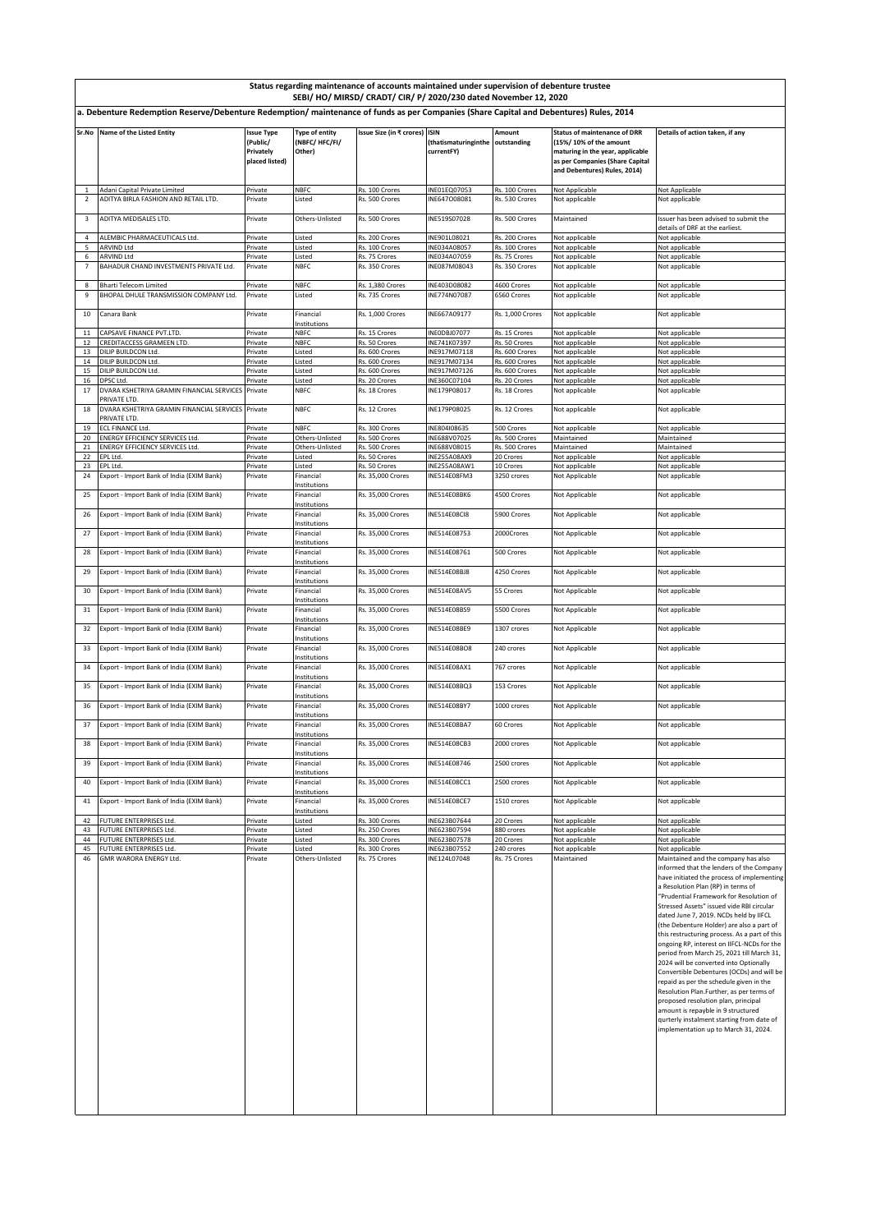|                                                                                                                                        | Status regarding maintenance of accounts maintained under supervision of debenture trustee<br>SEBI/ HO/ MIRSD/ CRADT/ CIR/ P/ 2020/230 dated November 12, 2020 |                                                              |                                           |                                        |                                    |                                  |                                                                                                                                                                      |                                                                                                                                                                                                                                                                                                                                                                                                                                                                                                                                                                                                                                                                                                                                                                                                                                                |
|----------------------------------------------------------------------------------------------------------------------------------------|----------------------------------------------------------------------------------------------------------------------------------------------------------------|--------------------------------------------------------------|-------------------------------------------|----------------------------------------|------------------------------------|----------------------------------|----------------------------------------------------------------------------------------------------------------------------------------------------------------------|------------------------------------------------------------------------------------------------------------------------------------------------------------------------------------------------------------------------------------------------------------------------------------------------------------------------------------------------------------------------------------------------------------------------------------------------------------------------------------------------------------------------------------------------------------------------------------------------------------------------------------------------------------------------------------------------------------------------------------------------------------------------------------------------------------------------------------------------|
| a. Debenture Redemption Reserve/Debenture Redemption/ maintenance of funds as per Companies (Share Capital and Debentures) Rules, 2014 |                                                                                                                                                                |                                                              |                                           |                                        |                                    |                                  |                                                                                                                                                                      |                                                                                                                                                                                                                                                                                                                                                                                                                                                                                                                                                                                                                                                                                                                                                                                                                                                |
|                                                                                                                                        | Sr.No Name of the Listed Entity                                                                                                                                | <b>Issue Type</b><br>(Public/<br>Privately<br>placed listed) | Type of entity<br>(NBFC/HFC/FI/<br>Other) | Issue Size (in ₹ crores) ISIN          | (thatismaturinginthe<br>currentFY) | Amount<br>outstanding            | <b>Status of maintenance of DRR</b><br>(15%/10% of the amount<br>maturing in the year, applicable<br>as per Companies (Share Capital<br>and Debentures) Rules, 2014) | Details of action taken, if any                                                                                                                                                                                                                                                                                                                                                                                                                                                                                                                                                                                                                                                                                                                                                                                                                |
|                                                                                                                                        | Adani Capital Private Limited                                                                                                                                  | Private                                                      | <b>NBFC</b>                               | Rs. 100 Crores                         | INE01EQ07053                       | Rs. 100 Crores                   | Not Applicable                                                                                                                                                       | Not Applicable                                                                                                                                                                                                                                                                                                                                                                                                                                                                                                                                                                                                                                                                                                                                                                                                                                 |
| $\overline{2}$                                                                                                                         | ADITYA BIRLA FASHION AND RETAIL LTD.                                                                                                                           | Private                                                      | Listed                                    | Rs. 500 Crores                         | INE647008081                       | Rs. 530 Crores                   | Not applicable                                                                                                                                                       | Not applicable                                                                                                                                                                                                                                                                                                                                                                                                                                                                                                                                                                                                                                                                                                                                                                                                                                 |
| 3                                                                                                                                      | ADITYA MEDISALES LTD.                                                                                                                                          | Private                                                      | Others-Unlisted                           | Rs. 500 Crores                         | INE519S07028                       | Rs. 500 Crores                   | Maintained                                                                                                                                                           | Issuer has been advised to submit the                                                                                                                                                                                                                                                                                                                                                                                                                                                                                                                                                                                                                                                                                                                                                                                                          |
| $\overline{4}$                                                                                                                         | ALEMBIC PHARMACEUTICALS Ltd.                                                                                                                                   | Private                                                      | Listed                                    | Rs. 200 Crores                         | INE901L08021                       | Rs. 200 Crores                   | Not applicable                                                                                                                                                       | details of DRF at the earliest.<br>Not applicable                                                                                                                                                                                                                                                                                                                                                                                                                                                                                                                                                                                                                                                                                                                                                                                              |
| 5                                                                                                                                      | ARVIND Ltd                                                                                                                                                     | Private                                                      | Listed                                    | Rs. 100 Crores                         | INE034A08057                       | Rs. 100 Crores                   | Not applicable                                                                                                                                                       | Not applicable                                                                                                                                                                                                                                                                                                                                                                                                                                                                                                                                                                                                                                                                                                                                                                                                                                 |
| 6<br>$\overline{7}$                                                                                                                    | <b>ARVIND Ltd</b><br>BAHADUR CHAND INVESTMENTS PRIVATE Ltd.                                                                                                    | Private<br>Private                                           | .isted<br><b>NBFC</b>                     | Rs. 75 Crores<br>Rs. 350 Crores        | NE034A07059<br>INE087M08043        | Rs. 75 Crores<br>Rs. 350 Crores  | Not applicable<br>Not applicable                                                                                                                                     | Not applicable<br>Not applicable                                                                                                                                                                                                                                                                                                                                                                                                                                                                                                                                                                                                                                                                                                                                                                                                               |
| 8                                                                                                                                      | Bharti Telecom Limited                                                                                                                                         | Private                                                      | <b>NBFC</b>                               | Rs. 1,380 Crores                       | INE403D08082                       | 4600 Crores                      | Not applicable                                                                                                                                                       | Not applicable                                                                                                                                                                                                                                                                                                                                                                                                                                                                                                                                                                                                                                                                                                                                                                                                                                 |
| 9                                                                                                                                      | BHOPAL DHULE TRANSMISSION COMPANY Ltd.                                                                                                                         | Private                                                      | Listed                                    | Rs. 735 Crores                         | INE774N07087                       | 6560 Crores                      | Not applicable                                                                                                                                                       | Not applicable                                                                                                                                                                                                                                                                                                                                                                                                                                                                                                                                                                                                                                                                                                                                                                                                                                 |
| 10                                                                                                                                     | Canara Bank                                                                                                                                                    | Private                                                      | Financial<br>nstitutions                  | Rs. 1,000 Crores                       | INE667A09177                       | Rs. 1,000 Crores                 | Not applicable                                                                                                                                                       | Not applicable                                                                                                                                                                                                                                                                                                                                                                                                                                                                                                                                                                                                                                                                                                                                                                                                                                 |
| $11\,$<br>12                                                                                                                           | CAPSAVE FINANCE PVT.LTD.<br>CREDITACCESS GRAMEEN LTD.                                                                                                          | Private<br>Private                                           | <b>NBFC</b><br><b>NBFC</b>                | Rs. 15 Crores<br>Rs. 50 Crores         | INEODBJ07077<br>INE741K07397       | Rs. 15 Crores<br>Rs. 50 Crores   | Not applicable<br>Not applicable                                                                                                                                     | Not applicable<br>Not applicable                                                                                                                                                                                                                                                                                                                                                                                                                                                                                                                                                                                                                                                                                                                                                                                                               |
| 13                                                                                                                                     | DILIP BUILDCON Ltd.                                                                                                                                            | Private                                                      | Listed                                    | Rs. 600 Crores                         | INE917M07118                       | Rs. 600 Crores                   | Not applicable                                                                                                                                                       | Not applicable                                                                                                                                                                                                                                                                                                                                                                                                                                                                                                                                                                                                                                                                                                                                                                                                                                 |
| 14                                                                                                                                     | DILIP BUILDCON Ltd.<br>DILIP BUILDCON Ltd                                                                                                                      | Private                                                      | Listed                                    | Rs. 600 Crores                         | INE917M07134<br>INE917M07126       | Rs. 600 Crores<br>Rs. 600 Crores | Not applicable                                                                                                                                                       | Not applicable                                                                                                                                                                                                                                                                                                                                                                                                                                                                                                                                                                                                                                                                                                                                                                                                                                 |
| 15<br>16                                                                                                                               | DPSC Ltd.                                                                                                                                                      | Private<br>Private                                           | Listed<br>Listed                          | Rs. 600 Crores<br>Rs. 20 Crores        | INE360C07104                       | Rs. 20 Crores                    | Not applicable<br>Not applicable                                                                                                                                     | Not applicable<br>Not applicable                                                                                                                                                                                                                                                                                                                                                                                                                                                                                                                                                                                                                                                                                                                                                                                                               |
| 17                                                                                                                                     | DVARA KSHETRIYA GRAMIN FINANCIAL SERVICES<br>PRIVATE ITD.                                                                                                      | Private                                                      | <b>NBFC</b>                               | Rs. 18 Crores                          | INE179P08017                       | Rs. 18 Crores                    | Not applicable                                                                                                                                                       | Not applicable                                                                                                                                                                                                                                                                                                                                                                                                                                                                                                                                                                                                                                                                                                                                                                                                                                 |
| 18                                                                                                                                     | DVARA KSHETRIYA GRAMIN FINANCIAL SERVICES Private<br>PRIVATE LTD.                                                                                              |                                                              | <b>NBFC</b>                               | Rs. 12 Crores                          | INE179P08025                       | Rs. 12 Crores                    | Not applicable                                                                                                                                                       | Not applicable                                                                                                                                                                                                                                                                                                                                                                                                                                                                                                                                                                                                                                                                                                                                                                                                                                 |
| 19<br>20                                                                                                                               | ECL FINANCE Ltd.<br><b>ENERGY EFFICIENCY SERVICES Ltd.</b>                                                                                                     | Private<br>Private                                           | <b>NBFC</b><br>Others-Unlisted            | Rs. 300 Crores<br>Rs. 500 Crores       | INE804I08635<br>NE688V07025        | 500 Crores<br>Rs. 500 Crores     | Not applicable<br>Maintained                                                                                                                                         | Not applicable<br>Maintained                                                                                                                                                                                                                                                                                                                                                                                                                                                                                                                                                                                                                                                                                                                                                                                                                   |
| 21                                                                                                                                     | ENERGY EFFICIENCY SERVICES Ltd.                                                                                                                                | Private                                                      | Others-Unlisted                           | Rs. 500 Crores                         | INE688V08015                       | Rs. 500 Crores                   | Maintained                                                                                                                                                           | Maintained                                                                                                                                                                                                                                                                                                                                                                                                                                                                                                                                                                                                                                                                                                                                                                                                                                     |
| 22<br>23                                                                                                                               | EPL Ltd.<br>EPL Ltd.                                                                                                                                           | Private<br>Private                                           | Listed<br>Listed                          | Rs. 50 Crores<br>Rs. 50 Crores         | INE255A08AX9<br>INE255A08AW1       | 20 Crores<br>10 Crores           | Not applicable<br>Not applicable                                                                                                                                     | Not applicable<br>Not applicable                                                                                                                                                                                                                                                                                                                                                                                                                                                                                                                                                                                                                                                                                                                                                                                                               |
| 24                                                                                                                                     | Export - Import Bank of India (EXIM Bank)                                                                                                                      | Private                                                      | Financial<br>Institutions                 | Rs. 35,000 Crores                      | INE514E08FM3                       | 3250 crores                      | Not Applicable                                                                                                                                                       | Not applicable                                                                                                                                                                                                                                                                                                                                                                                                                                                                                                                                                                                                                                                                                                                                                                                                                                 |
| 25                                                                                                                                     | Export - Import Bank of India (EXIM Bank)                                                                                                                      | Private                                                      | Financial<br>Institutions                 | Rs. 35,000 Crores                      | <b>INE514E08BK6</b>                | 4500 Crores                      | Not Applicable                                                                                                                                                       | Not applicable                                                                                                                                                                                                                                                                                                                                                                                                                                                                                                                                                                                                                                                                                                                                                                                                                                 |
| 26                                                                                                                                     | Export - Import Bank of India (EXIM Bank)                                                                                                                      | Private                                                      | Financial<br>Institutions                 | Rs. 35,000 Crores                      | INE514E08CI8                       | 5900 Crores                      | Not Applicable                                                                                                                                                       | Not applicable                                                                                                                                                                                                                                                                                                                                                                                                                                                                                                                                                                                                                                                                                                                                                                                                                                 |
| 27                                                                                                                                     | Export - Import Bank of India (EXIM Bank)                                                                                                                      | Private                                                      | Financial<br>nstitutions                  | Rs. 35,000 Crores                      | INE514E08753                       | 2000Crores                       | Not Applicable                                                                                                                                                       | Not applicable                                                                                                                                                                                                                                                                                                                                                                                                                                                                                                                                                                                                                                                                                                                                                                                                                                 |
| 28                                                                                                                                     | Export - Import Bank of India (EXIM Bank)                                                                                                                      | Private                                                      | Financial<br>nstitutions                  | Rs. 35,000 Crores                      | INE514E08761                       | 500 Crores                       | Not Applicable                                                                                                                                                       | Not applicable                                                                                                                                                                                                                                                                                                                                                                                                                                                                                                                                                                                                                                                                                                                                                                                                                                 |
| 29                                                                                                                                     | Export - Import Bank of India (EXIM Bank)                                                                                                                      | Private                                                      | Financial<br>Institutions                 | Rs. 35,000 Crores                      | INE514E08BJ8                       | 4250 Crores                      | Not Applicable                                                                                                                                                       | Not applicable                                                                                                                                                                                                                                                                                                                                                                                                                                                                                                                                                                                                                                                                                                                                                                                                                                 |
| 30                                                                                                                                     | Export - Import Bank of India (EXIM Bank)                                                                                                                      | Private                                                      | Financial<br>nstitutions                  | Rs. 35,000 Crores                      | INE514E08AV5                       | 55 Crores                        | Not Applicable                                                                                                                                                       | Not applicable                                                                                                                                                                                                                                                                                                                                                                                                                                                                                                                                                                                                                                                                                                                                                                                                                                 |
| 31                                                                                                                                     | Export - Import Bank of India (EXIM Bank)<br>Export - Import Bank of India (EXIM Bank)                                                                         | Private                                                      | Financial<br>Institutions<br>Financial    | Rs. 35,000 Crores                      | INE514E08BS9<br>INE514E08BE9       | 5500 Crores                      | Not Applicable                                                                                                                                                       | Not applicable                                                                                                                                                                                                                                                                                                                                                                                                                                                                                                                                                                                                                                                                                                                                                                                                                                 |
| 32<br>33                                                                                                                               | Export - Import Bank of India (EXIM Bank)                                                                                                                      | Private<br>Private                                           | nstitutions<br>Financial                  | Rs. 35,000 Crores<br>Rs. 35,000 Crores | INE514E08BO8                       | 1307 crores<br>240 crores        | Not Applicable<br>Not Applicable                                                                                                                                     | Not applicable<br>Not applicable                                                                                                                                                                                                                                                                                                                                                                                                                                                                                                                                                                                                                                                                                                                                                                                                               |
| 34                                                                                                                                     | Export - Import Bank of India (EXIM Bank)                                                                                                                      | Private                                                      | nstitutions<br>Financial                  | Rs. 35,000 Crores                      | INE514E08AX1                       | 767 crores                       | Not Applicable                                                                                                                                                       | Not applicable                                                                                                                                                                                                                                                                                                                                                                                                                                                                                                                                                                                                                                                                                                                                                                                                                                 |
| 35                                                                                                                                     | Export - Import Bank of India (EXIM Bank)                                                                                                                      | Private                                                      | nstitutions<br>Financial                  | Rs. 35,000 Crores                      | INE514E08BQ3                       | 153 Crores                       | Not Applicable                                                                                                                                                       | Not applicable                                                                                                                                                                                                                                                                                                                                                                                                                                                                                                                                                                                                                                                                                                                                                                                                                                 |
| 36                                                                                                                                     | Export - Import Bank of India (EXIM Bank)                                                                                                                      | Private                                                      | nstitutions<br>Financial                  | Rs. 35,000 Crores                      | INE514E08BY7                       | 1000 crores                      | Not Applicable                                                                                                                                                       | Not applicable                                                                                                                                                                                                                                                                                                                                                                                                                                                                                                                                                                                                                                                                                                                                                                                                                                 |
| 37                                                                                                                                     | Export - Import Bank of India (EXIM Bank)                                                                                                                      | Private                                                      | nstitutions<br>Financial                  | Rs. 35,000 Crores                      | INE514E08BA7                       | 60 Crores                        | Not Applicable                                                                                                                                                       | Not applicable                                                                                                                                                                                                                                                                                                                                                                                                                                                                                                                                                                                                                                                                                                                                                                                                                                 |
| 38                                                                                                                                     | Export - Import Bank of India (EXIM Bank)                                                                                                                      | Private                                                      | Institutions<br>Financial                 | Rs. 35,000 Crores                      | INE514E08CB3                       | 2000 crores                      | Not Applicable                                                                                                                                                       | Not applicable                                                                                                                                                                                                                                                                                                                                                                                                                                                                                                                                                                                                                                                                                                                                                                                                                                 |
| 39                                                                                                                                     | Export - Import Bank of India (EXIM Bank)                                                                                                                      | Private                                                      | nstitutions<br>Financial<br>nstitutions   | Rs. 35,000 Crores                      | INE514E08746                       | 2500 crores                      | Not Applicable                                                                                                                                                       | Not applicable                                                                                                                                                                                                                                                                                                                                                                                                                                                                                                                                                                                                                                                                                                                                                                                                                                 |
| 40                                                                                                                                     | Export - Import Bank of India (EXIM Bank)                                                                                                                      | Private                                                      | Financial                                 | Rs. 35,000 Crores                      | INE514E08CC1                       | 2500 crores                      | Not Applicable                                                                                                                                                       | Not applicable                                                                                                                                                                                                                                                                                                                                                                                                                                                                                                                                                                                                                                                                                                                                                                                                                                 |
| 41                                                                                                                                     | Export - Import Bank of India (EXIM Bank)                                                                                                                      | Private                                                      | Institutions<br>Financial<br>Institutions | Rs. 35,000 Crores                      | INE514E08CE7                       | 1510 crores                      | Not Applicable                                                                                                                                                       | Not applicable                                                                                                                                                                                                                                                                                                                                                                                                                                                                                                                                                                                                                                                                                                                                                                                                                                 |
| 42                                                                                                                                     | FUTURE ENTERPRISES Ltd.                                                                                                                                        | Private                                                      | Listed                                    | Rs. 300 Crores                         | INE623B07644                       | 20 Crores                        | Not applicable                                                                                                                                                       | Not applicable                                                                                                                                                                                                                                                                                                                                                                                                                                                                                                                                                                                                                                                                                                                                                                                                                                 |
| 43                                                                                                                                     | FUTURE ENTERPRISES Ltd.                                                                                                                                        | Private                                                      | Listed                                    | Rs. 250 Crores                         | INE623B07594                       | 880 crores<br>20 Crores          | Not applicable                                                                                                                                                       | Not applicable                                                                                                                                                                                                                                                                                                                                                                                                                                                                                                                                                                                                                                                                                                                                                                                                                                 |
| 44<br>45                                                                                                                               | FUTURE ENTERPRISES Ltd.<br>FUTURE ENTERPRISES Ltd.                                                                                                             | Private<br>Private                                           | Listed<br>Listed                          | Rs. 300 Crores<br>Rs. 300 Crores       | INE623B07578<br>INE623B07552       | 240 crores                       | Not applicable<br>Not applicable                                                                                                                                     | Not applicable<br>Not applicable                                                                                                                                                                                                                                                                                                                                                                                                                                                                                                                                                                                                                                                                                                                                                                                                               |
| 46                                                                                                                                     | GMR WARORA ENERGY Ltd.                                                                                                                                         | Private                                                      | Others-Unlisted                           | Rs. 75 Crores                          | INE124L07048                       | Rs. 75 Crores                    | Maintained                                                                                                                                                           | Maintained and the company has also<br>informed that the lenders of the Company<br>have initiated the process of implementing<br>a Resolution Plan (RP) in terms of<br>"Prudential Framework for Resolution of<br>Stressed Assets" issued vide RBI circular<br>dated June 7, 2019. NCDs held by IIFCL<br>(the Debenture Holder) are also a part of<br>this restructuring process. As a part of this<br>ongoing RP, interest on IIFCL-NCDs for the<br>period from March 25, 2021 till March 31,<br>2024 will be converted into Optionally<br>Convertible Debentures (OCDs) and will be<br>repaid as per the schedule given in the<br>Resolution Plan.Further, as per terms of<br>proposed resolution plan, principal<br>amount is repayble in 9 structured<br>qurterly instalment starting from date of<br>implementation up to March 31, 2024. |
|                                                                                                                                        |                                                                                                                                                                |                                                              |                                           |                                        |                                    |                                  |                                                                                                                                                                      |                                                                                                                                                                                                                                                                                                                                                                                                                                                                                                                                                                                                                                                                                                                                                                                                                                                |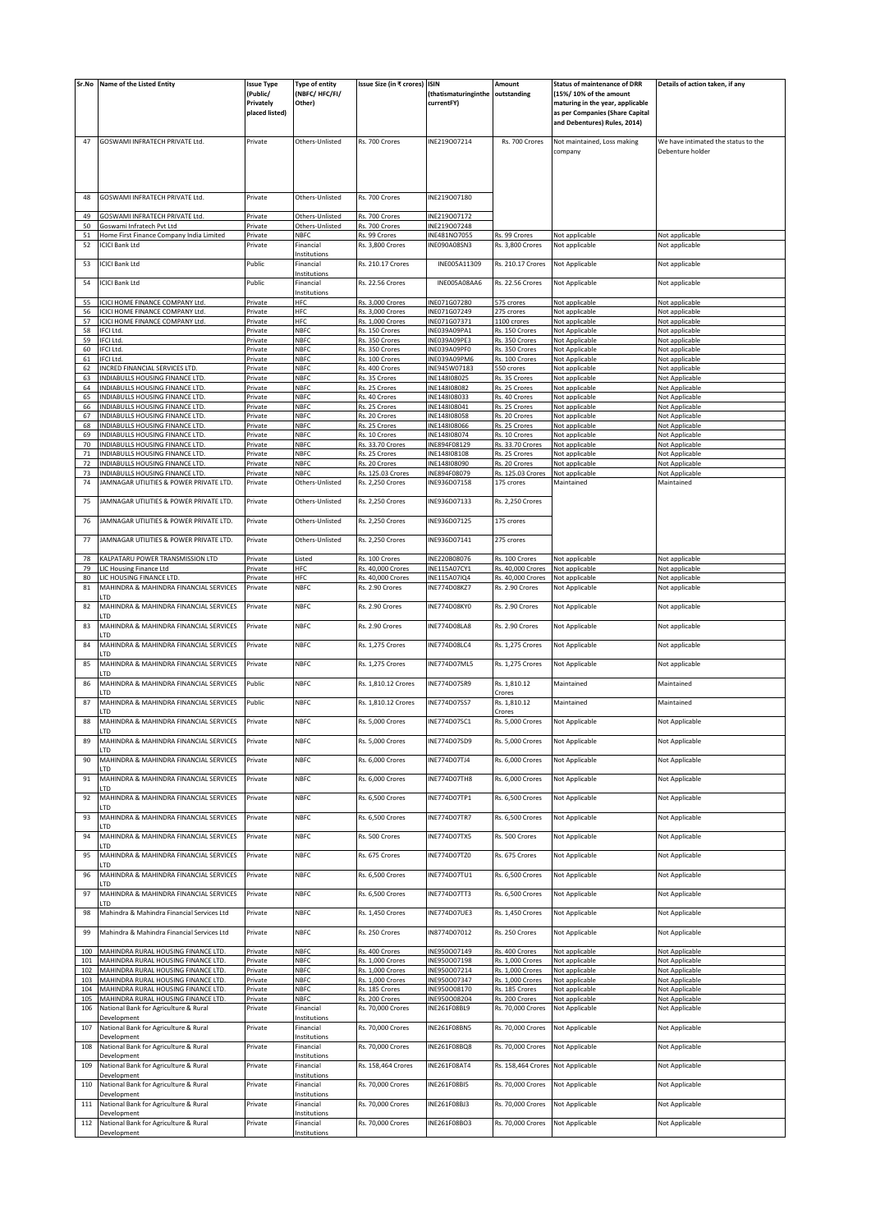| Sr.No    | Name of the Listed Entity                                          | <b>Issue Type</b>           | Type of entity             | Issue Size (in ₹ crores) ISIN    |                              | Amount                           | <b>Status of maintenance of DRR</b>                                 | Details of action taken, if any     |
|----------|--------------------------------------------------------------------|-----------------------------|----------------------------|----------------------------------|------------------------------|----------------------------------|---------------------------------------------------------------------|-------------------------------------|
|          |                                                                    | (Public/                    | (NBFC/HFC/FI/              |                                  | (thatismaturinginthe         | outstanding                      | (15%/ 10% of the amount                                             |                                     |
|          |                                                                    | Privately<br>placed listed) | Other)                     |                                  | currentFY)                   |                                  | maturing in the year, applicable<br>as per Companies (Share Capital |                                     |
|          |                                                                    |                             |                            |                                  |                              |                                  | and Debentures) Rules, 2014)                                        |                                     |
|          |                                                                    |                             |                            |                                  |                              |                                  |                                                                     |                                     |
| 47       | GOSWAMI INFRATECH PRIVATE Ltd.                                     | Private                     | Others-Unlisted            | Rs. 700 Crores                   | INE219007214                 | Rs. 700 Crores                   | Not maintained, Loss making                                         | We have intimated the status to the |
|          |                                                                    |                             |                            |                                  |                              |                                  | company                                                             | Debenture holder                    |
|          |                                                                    |                             |                            |                                  |                              |                                  |                                                                     |                                     |
|          |                                                                    |                             |                            |                                  |                              |                                  |                                                                     |                                     |
|          |                                                                    |                             |                            |                                  |                              |                                  |                                                                     |                                     |
| 48       | GOSWAMI INFRATECH PRIVATE Ltd.                                     | Private                     | Others-Unlisted            | Rs. 700 Crores                   | INE219007180                 |                                  |                                                                     |                                     |
| 49       | GOSWAMI INFRATECH PRIVATE Ltd.                                     | Private                     | Others-Unlisted            | Rs. 700 Crores                   | INE219007172                 |                                  |                                                                     |                                     |
| 50       | Goswami Infratech Pvt Ltd                                          | Private                     | Others-Unlisted            | Rs. 700 Crores                   | INE219007248                 |                                  |                                                                     |                                     |
| 51       | Home First Finance Company India Limited                           | Private                     | <b>NBFC</b>                | Rs. 99 Crores                    | INE481NO7055                 | Rs. 99 Crores                    | Not applicable                                                      | Not applicable                      |
| 52       | <b>ICICI Bank Ltd</b>                                              | Private                     | Financial                  | Rs. 3,800 Crores                 | INE090A08SN3                 | Rs. 3,800 Crores                 | Not applicable                                                      | Not applicable                      |
|          |                                                                    |                             | nstitutions                |                                  |                              |                                  |                                                                     |                                     |
| 53       | <b>ICICI Bank Ltd</b>                                              | Public                      | Financial                  | Rs. 210.17 Crores                | INE005A11309                 | Rs. 210.17 Crores                | Not Applicable                                                      | Not applicable                      |
| 54       | <b>ICICI Bank Ltd</b>                                              | Public                      | nstitutions<br>Financial   | <b>Rs. 22.56 Crores</b>          | INE005A08AA6                 | <b>Rs. 22.56 Crores</b>          | Not Applicable                                                      | Not applicable                      |
|          |                                                                    |                             | Institutions               |                                  |                              |                                  |                                                                     |                                     |
| 55       | ICICI HOME FINANCE COMPANY Ltd.                                    | Private                     | HFC                        | Rs. 3,000 Crores                 | INE071G07280                 | 575 crores                       | Not applicable                                                      | Not applicable                      |
| 56       | ICICI HOME FINANCE COMPANY Ltd.                                    | Private                     | HFC                        | Rs. 3,000 Crores                 | INE071G07249                 | 275 crores                       | Not applicable                                                      | Not applicable                      |
| 57       | ICICI HOME FINANCE COMPANY Ltd.                                    | Private                     | HFC                        | Rs. 1,000 Crores                 | INE071G07371                 | 1100 crores                      | Not applicable                                                      | Not applicable                      |
| 58       | <b>IFCI Ltd</b>                                                    | Private                     | NBFC                       | Rs. 150 Crores                   | INE039A09PA1                 | Rs. 150 Crores                   | Not Applicable                                                      | Not applicable                      |
| 59<br>60 | IFCI Ltd.<br>IFCI Ltd.                                             | Private<br>Private          | <b>NBFC</b><br><b>NBFC</b> | Rs. 350 Crores<br>Rs. 350 Crores | INE039A09PE3<br>INE039A09PF0 | Rs. 350 Crores<br>Rs. 350 Crores | Not Applicable<br>Not Applicable                                    | Not applicable<br>Not applicable    |
| 61       | <b>IFCI Ltd</b>                                                    | Private                     | <b>NBFC</b>                | Rs. 100 Crores                   | INE039A09PM6                 | Rs. 100 Crores                   | Not Applicable                                                      | Not applicable                      |
| 62       | INCRED FINANCIAL SERVICES LTD.                                     | Private                     | NBFC                       | Rs. 400 Crores                   | INE945W07183                 | 550 crores                       | Not applicable                                                      | Not applicable                      |
| 63       | INDIABULLS HOUSING FINANCE LTD.                                    | Private                     | <b>NBFC</b>                | Rs. 35 Crores                    | INE148I08025                 | Rs. 35 Crores                    | Not applicable                                                      | Not Applicable                      |
| 64       | INDIABULLS HOUSING FINANCE LTD.                                    | Private                     | NBFC                       | Rs. 25 Crores                    | INE148I08082                 | Rs. 25 Crores                    | Not applicable                                                      | Not Applicable                      |
| 65       | INDIABULLS HOUSING FINANCE LTD.                                    | Private                     | <b>NBFC</b>                | Rs. 40 Crores                    | INE148I08033                 | Rs. 40 Crores                    | Not applicable                                                      | Not Applicable                      |
| 66       | INDIABULLS HOUSING FINANCE LTD.                                    | Private                     | <b>NBFC</b>                | Rs. 25 Crores                    | INE148I08041                 | Rs. 25 Crores                    | Not applicable                                                      | Not Applicable                      |
| 67       | INDIABULLS HOUSING FINANCE LTD.                                    | Private                     | NBFC<br><b>NBFC</b>        | Rs. 20 Crores                    | INE148I08058                 | Rs. 20 Crores<br>Rs. 25 Crores   | Not applicable                                                      | Not Applicable                      |
| 68<br>69 | INDIABULLS HOUSING FINANCE LTD.<br>INDIABULLS HOUSING FINANCE LTD. | Private<br>Private          | <b>NBFC</b>                | Rs. 25 Crores<br>Rs. 10 Crores   | INE148I08066<br>INE148I08074 | Rs. 10 Crores                    | Not applicable<br>Not applicable                                    | Not Applicable<br>Not Applicable    |
| 70       | INDIABULLS HOUSING FINANCE LTD.                                    | Private                     | NBFC                       | Rs. 33.70 Crores                 | INE894F08129                 | <b>Rs. 33.70 Crores</b>          | Not applicable                                                      | Not Applicable                      |
| 71       | INDIABULLS HOUSING FINANCE LTD.                                    | Private                     | <b>NBFC</b>                | Rs. 25 Crores                    | INE148I08108                 | Rs. 25 Crores                    | Not applicable                                                      | Not Applicable                      |
| 72       | INDIABULLS HOUSING FINANCE LTD.                                    | Private                     | NBFC                       | Rs. 20 Crores                    | INE148I08090                 | Rs. 20 Crores                    | Not applicable                                                      | Not Applicable                      |
| 73       | INDIABULLS HOUSING FINANCE LTD.                                    | Private                     | <b>NBFC</b>                | Rs. 125.03 Crores                | INE894F08079                 | Rs. 125.03 Crores                | Not applicable                                                      | Not Applicable                      |
| 74       | JAMNAGAR UTILITIES & POWER PRIVATE LTD.                            | Private                     | Others-Unlisted            | Rs. 2,250 Crores                 | INE936D07158                 | 175 crores                       | Maintained                                                          | Maintained                          |
|          |                                                                    |                             |                            |                                  |                              |                                  |                                                                     |                                     |
| 75       | JAMNAGAR UTILITIES & POWER PRIVATE LTD.                            | Private                     | Others-Unlisted            | Rs. 2,250 Crores                 | INE936D07133                 | <b>Rs. 2,250 Crores</b>          |                                                                     |                                     |
| 76       | JAMNAGAR UTILITIES & POWER PRIVATE LTD.                            | Private                     | Others-Unlisted            | Rs. 2,250 Crores                 | INE936D07125                 | 175 crores                       |                                                                     |                                     |
|          |                                                                    |                             |                            |                                  |                              |                                  |                                                                     |                                     |
| 77       | JAMNAGAR UTILITIES & POWER PRIVATE LTD.                            | Private                     | Others-Unlisted            | Rs. 2,250 Crores                 | INE936D07141                 | 275 crores                       |                                                                     |                                     |
|          |                                                                    |                             |                            |                                  |                              |                                  |                                                                     |                                     |
| 78       | KALPATARU POWER TRANSMISSION LTD                                   | Private                     | Listed                     | Rs. 100 Crores                   | INE220B08076                 | Rs. 100 Crores                   | Not applicable                                                      | Not applicable                      |
| 79       | LIC Housing Finance Ltd                                            | Private                     | HFC                        | Rs. 40,000 Crores                | INE115A07CY1                 | Rs. 40,000 Crores                | Not applicable                                                      | Not applicable                      |
| 80       | LIC HOUSING FINANCE LTD.                                           | Private                     | HFC                        | Rs. 40,000 Crores                | INE115A07IQ4                 | Rs. 40,000 Crores                | Not applicable                                                      | Not applicable                      |
| 81       | MAHINDRA & MAHINDRA FINANCIAL SERVICES                             | Private                     | NBFC                       | Rs. 2.90 Crores                  | <b>INE774D08KZ7</b>          | Rs. 2.90 Crores                  | Not Applicable                                                      | Not applicable                      |
| 82       | LTD<br>MAHINDRA & MAHINDRA FINANCIAL SERVICES                      | Private                     | <b>NBFC</b>                | Rs. 2.90 Crores                  | INE774D08KY0                 | Rs. 2.90 Crores                  | Not Applicable                                                      | Not applicable                      |
|          | <b>TD</b>                                                          |                             |                            |                                  |                              |                                  |                                                                     |                                     |
| 83       | MAHINDRA & MAHINDRA FINANCIAL SERVICES                             | Private                     | <b>NBFC</b>                | Rs. 2.90 Crores                  | <b>INE774D08LA8</b>          | Rs. 2.90 Crores                  | Not Applicable                                                      | Not applicable                      |
|          | <b>LTD</b>                                                         |                             |                            |                                  |                              |                                  |                                                                     |                                     |
| 84       | MAHINDRA & MAHINDRA FINANCIAL SERVICES                             | Private                     | <b>NBFC</b>                | Rs. 1,275 Crores                 | <b>INE774D08LC4</b>          | Rs. 1,275 Crores                 | Not Applicable                                                      | Not applicable                      |
|          | <b>LTD</b>                                                         |                             |                            |                                  |                              |                                  |                                                                     |                                     |
| 85       | MAHINDRA & MAHINDRA FINANCIAL SERVICES                             | Private                     | <b>NBFC</b>                | Rs. 1,275 Crores                 | INE774D07ML5                 | Rs. 1,275 Crores                 | Not Applicable                                                      | Not applicable                      |
|          | LTD                                                                |                             |                            |                                  |                              |                                  |                                                                     |                                     |
| 86       | MAHINDRA & MAHINDRA FINANCIAL SERVICES<br><b>LTD</b>               | Public                      | <b>NBFC</b>                | Rs. 1,810.12 Crores              | INE774D07SR9                 | Rs. 1,810.12                     | Maintained                                                          | Maintained                          |
| 87       | MAHINDRA & MAHINDRA FINANCIAL SERVICES                             | Public                      | <b>NBFC</b>                | Rs. 1,810.12 Crores              | INE774D07SS7                 | Crores<br>Rs. 1,810.12           | Maintained                                                          | Maintained                          |
|          | ITD                                                                |                             |                            |                                  |                              | Crores                           |                                                                     |                                     |
| 88       | MAHINDRA & MAHINDRA FINANCIAL SERVICES                             | Private                     | <b>NBFC</b>                | Rs. 5,000 Crores                 | INE774D07SC1                 | Rs. 5,000 Crores                 | Not Applicable                                                      | Not Applicable                      |
|          | LTD                                                                |                             |                            |                                  |                              |                                  |                                                                     |                                     |
| 89       | MAHINDRA & MAHINDRA FINANCIAL SERVICES                             | Private                     | <b>NBFC</b>                | Rs. 5,000 Crores                 | INE774D07SD9                 | Rs. 5,000 Crores                 | Not Applicable                                                      | Not Applicable                      |
|          | LTD                                                                |                             |                            |                                  |                              |                                  |                                                                     |                                     |
| 90       | MAHINDRA & MAHINDRA FINANCIAL SERVICES                             | Private                     | <b>NBFC</b>                | Rs. 6,000 Crores                 | <b>INE774D07TJ4</b>          | Rs. 6,000 Crores                 | Not Applicable                                                      | Not Applicable                      |
|          | <b>TD</b><br>MAHINDRA & MAHINDRA FINANCIAL SERVICES                |                             | <b>NBFC</b>                |                                  | <b>INE774D07TH8</b>          | Rs. 6,000 Crores                 |                                                                     |                                     |
| 91       | TD                                                                 | Private                     |                            | Rs. 6,000 Crores                 |                              |                                  | Not Applicable                                                      | Not Applicable                      |
| 92       | MAHINDRA & MAHINDRA FINANCIAL SERVICES                             | Private                     | <b>NBFC</b>                | Rs. 6,500 Crores                 | INE774D07TP1                 | Rs. 6,500 Crores                 | Not Applicable                                                      | Not Applicable                      |
|          | <b>LTD</b>                                                         |                             |                            |                                  |                              |                                  |                                                                     |                                     |
| 93       | MAHINDRA & MAHINDRA FINANCIAL SERVICES                             | Private                     | <b>NBFC</b>                | Rs. 6,500 Crores                 | <b>INE774D07TR7</b>          | Rs. 6,500 Crores                 | Not Applicable                                                      | Not Applicable                      |
|          | <b>TD</b>                                                          |                             |                            |                                  |                              |                                  |                                                                     |                                     |
| 94       | MAHINDRA & MAHINDRA FINANCIAL SERVICES                             | Private                     | <b>NBFC</b>                | Rs. 500 Crores                   | INE774D07TX5                 | Rs. 500 Crores                   | Not Applicable                                                      | Not Applicable                      |
|          | <b>TD</b><br>MAHINDRA & MAHINDRA FINANCIAL SERVICES                |                             |                            |                                  |                              |                                  |                                                                     |                                     |
| 95       | LTD                                                                | Private                     | <b>NBFC</b>                | Rs. 675 Crores                   | INE774D07TZ0                 | Rs. 675 Crores                   | Not Applicable                                                      | Not Applicable                      |
| 96       | MAHINDRA & MAHINDRA FINANCIAL SERVICES                             | Private                     | <b>NBFC</b>                | Rs. 6,500 Crores                 | INE774D07TU1                 | Rs. 6,500 Crores                 | Not Applicable                                                      | Not Applicable                      |
|          | <b>TD</b>                                                          |                             |                            |                                  |                              |                                  |                                                                     |                                     |
| 97       | MAHINDRA & MAHINDRA FINANCIAL SERVICES                             | Private                     | <b>NBFC</b>                | Rs. 6,500 Crores                 | INE774D07TT3                 | Rs. 6,500 Crores                 | Not Applicable                                                      | Not Applicable                      |
|          | <b>LTD</b>                                                         |                             |                            |                                  |                              |                                  |                                                                     |                                     |
| 98       | Mahindra & Mahindra Financial Services Ltd                         | Private                     | <b>NBFC</b>                | Rs. 1,450 Crores                 | INE774D07UE3                 | <b>Rs. 1,450 Crores</b>          | Not Applicable                                                      | Not Applicable                      |
|          |                                                                    |                             |                            |                                  |                              |                                  |                                                                     |                                     |
| 99       | Mahindra & Mahindra Financial Services Ltd                         | Private                     | <b>NBFC</b>                | Rs. 250 Crores                   | IN8774D07012                 | Rs. 250 Crores                   | Not Applicable                                                      | Not Applicable                      |
| 100      | MAHINDRA RURAL HOUSING FINANCE LTD.                                | Private                     | <b>NBFC</b>                | Rs. 400 Crores                   | INE950007149                 | Rs. 400 Crores                   | Not applicable                                                      | Not Applicable                      |
| 101      | MAHINDRA RURAL HOUSING FINANCE LTD.                                | Private                     | NBFC                       | Rs. 1,000 Crores                 | INE950007198                 | Rs. 1,000 Crores                 | Not applicable                                                      | Not Applicable                      |
| 102      | MAHINDRA RURAL HOUSING FINANCE LTD.                                | Private                     | <b>NBFC</b>                | Rs. 1,000 Crores                 | INE950007214                 | Rs. 1,000 Crores                 | Not applicable                                                      | Not Applicable                      |
| 103      | MAHINDRA RURAL HOUSING FINANCE LTD.                                | Private                     | <b>NBFC</b>                | Rs. 1,000 Crores                 | INE950007347                 | Rs. 1,000 Crores                 | Not applicable                                                      | Not Applicable                      |
| 104      | MAHINDRA RURAL HOUSING FINANCE LTD.                                | Private                     | <b>NBFC</b>                | Rs. 185 Crores                   | INE950008170                 | Rs. 185 Crores                   | Not applicable                                                      | Not Applicable                      |
| 105      | MAHINDRA RURAL HOUSING FINANCE LTD.                                | Private                     | NBFC                       | Rs. 200 Crores                   | INE950O08204                 | Rs. 200 Crores                   | Not applicable                                                      | Not Applicable                      |
| 106      | National Bank for Agriculture & Rural                              | Private                     | Financial                  | Rs. 70,000 Crores                | INE261F08BL9                 | Rs. 70,000 Crores                | Not Applicable                                                      | Not Applicable                      |
|          | Development                                                        |                             | nstitutions                |                                  |                              |                                  |                                                                     |                                     |
| 107      | National Bank for Agriculture & Rural                              | Private                     | Financial                  | Rs. 70,000 Crores                | INE261F08BN5                 | Rs. 70,000 Crores                | Not Applicable                                                      | Not Applicable                      |
|          | Development                                                        |                             | nstitutions                |                                  |                              |                                  |                                                                     |                                     |
| 108      | National Bank for Agriculture & Rural<br>Development               | Private                     | Financial<br>nstitutions   | Rs. 70,000 Crores                | INE261F08BQ8                 | Rs. 70,000 Crores                | Not Applicable                                                      | Not Applicable                      |
| 109      | National Bank for Agriculture & Rural                              | Private                     | Financial                  | Rs. 158,464 Crores               | <b>INE261F08AT4</b>          | Rs. 158,464 Crores               | Not Applicable                                                      | Not Applicable                      |
|          | Development                                                        |                             | Institutions               |                                  |                              |                                  |                                                                     |                                     |
| 110      | National Bank for Agriculture & Rural                              | Private                     | Financial                  | Rs. 70,000 Crores                | INE261F08BI5                 | Rs. 70,000 Crores                | Not Applicable                                                      | Not Applicable                      |
|          | Development                                                        |                             | nstitutions                |                                  |                              |                                  |                                                                     |                                     |
| 111      | National Bank for Agriculture & Rural                              | Private                     | Financial                  | Rs. 70,000 Crores                | INE261F08BJ3                 | Rs. 70,000 Crores                | Not Applicable                                                      | Not Applicable                      |
|          | Development                                                        |                             | nstitutions                |                                  |                              |                                  |                                                                     |                                     |
| 112      | National Bank for Agriculture & Rural                              | Private                     | Financial                  | Rs. 70,000 Crores                | INE261F08BO3                 | Rs. 70,000 Crores                | Not Applicable                                                      | Not Applicable                      |
|          | Development                                                        |                             | Institutions               |                                  |                              |                                  |                                                                     |                                     |